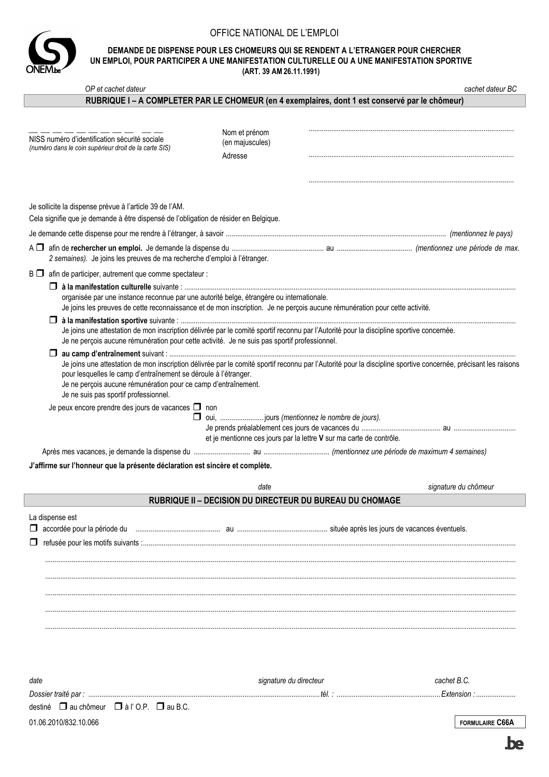## OFFICE NATIONAL DE L'EMPLOI



# DEMANDE DE DISPENSE POUR LES CHOMEURS QUI SE RENDENT A L'ETRANGER POUR CHERCHER<br>UN EMPLOI, POUR PARTICIPER A UNE MANIFESTATION CULTURELLE OU A UNE MANIFESTATION SPORTIVE (ART. 39 AM 26.11.1991)

| OP et cachet dateur<br>RUBRIQUE I - A COMPLETER PAR LE CHOMEUR (en 4 exemplaires, dont 1 est conservé par le chômeur)                                                                                                                                                                   |                                                                     | cachet dateur BC                                                                                                                                               |
|-----------------------------------------------------------------------------------------------------------------------------------------------------------------------------------------------------------------------------------------------------------------------------------------|---------------------------------------------------------------------|----------------------------------------------------------------------------------------------------------------------------------------------------------------|
|                                                                                                                                                                                                                                                                                         |                                                                     |                                                                                                                                                                |
| NISS numéro d'identification sécurité sociale<br>(numéro dans le coin supérieur droit de la carte SIS)                                                                                                                                                                                  | Nom et prénom<br>(en majuscules)<br>Adresse                         |                                                                                                                                                                |
| Je sollicite la dispense prévue à l'article 39 de l'AM.<br>Cela signifie que je demande à être dispensé de l'obligation de résider en Belgique.                                                                                                                                         |                                                                     |                                                                                                                                                                |
|                                                                                                                                                                                                                                                                                         |                                                                     |                                                                                                                                                                |
| 2 semaines). Je joins les preuves de ma recherche d'emploi à l'étranger.                                                                                                                                                                                                                |                                                                     |                                                                                                                                                                |
| $B \Box$ afin de participer, autrement que comme spectateur :<br>organisée par une instance reconnue par une autorité belge, étrangère ou internationale.<br>Je joins les preuves de cette reconnaissance et de mon inscription. Je ne perçois aucune rémunération pour cette activité. |                                                                     |                                                                                                                                                                |
| Je joins une attestation de mon inscription délivrée par le comité sportif reconnu par l'Autorité pour la discipline sportive concernée.<br>Je ne perçois aucune rémunération pour cette activité. Je ne suis pas sportif professionnel.                                                |                                                                     |                                                                                                                                                                |
| ⊔<br>pour lesquelles le camp d'entraînement se déroule à l'étranger.<br>Je ne perçois aucune rémunération pour ce camp d'entraînement.<br>Je ne suis pas sportif professionnel.                                                                                                         |                                                                     | Je joins une attestation de mon inscription délivrée par le comité sportif reconnu par l'Autorité pour la discipline sportive concernée, précisant les raisons |
| Je peux encore prendre des jours de vacances $\Box$ non                                                                                                                                                                                                                                 | et je mentionne ces jours par la lettre V sur ma carte de contrôle. |                                                                                                                                                                |
|                                                                                                                                                                                                                                                                                         |                                                                     |                                                                                                                                                                |
| J'affirme sur l'honneur que la présente déclaration est sincère et complète.                                                                                                                                                                                                            |                                                                     |                                                                                                                                                                |
|                                                                                                                                                                                                                                                                                         |                                                                     |                                                                                                                                                                |
|                                                                                                                                                                                                                                                                                         | date                                                                | signature du chômeur                                                                                                                                           |
|                                                                                                                                                                                                                                                                                         | <b>RUBRIQUE II - DECISION DU DIRECTEUR DU BUREAU DU CHOMAGE</b>     |                                                                                                                                                                |
| La dispense est<br>accordée pour la période du mention du mention au mention du mention du mention de vacances éventuels.<br>$\Box$                                                                                                                                                     |                                                                     |                                                                                                                                                                |
|                                                                                                                                                                                                                                                                                         |                                                                     |                                                                                                                                                                |
| date                                                                                                                                                                                                                                                                                    | signature du directeur                                              | cachet B.C.                                                                                                                                                    |
|                                                                                                                                                                                                                                                                                         |                                                                     | Extension :                                                                                                                                                    |
| destiné □ au chômeur □ à l' O.P. □ au B.C.<br>01.06.2010/832.10.066                                                                                                                                                                                                                     |                                                                     | <b>FORMULAIRE C66A</b>                                                                                                                                         |